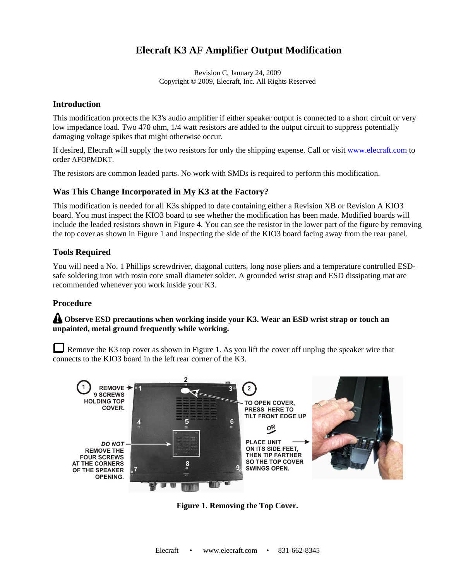# **Elecraft K3 AF Amplifier Output Modification**

Revision C, January 24, 2009 Copyright © 2009, Elecraft, Inc. All Rights Reserved

### **Introduction**

This modification protects the K3's audio amplifier if either speaker output is connected to a short circuit or very low impedance load. Two 470 ohm, 1/4 watt resistors are added to the output circuit to suppress potentially damaging voltage spikes that might otherwise occur.

If desired, Elecraft will supply the two resistors for only the shipping expense. Call or visit www.elecraft.com to order AFOPMDKT.

The resistors are common leaded parts. No work with SMDs is required to perform this modification.

#### **Was This Change Incorporated in My K3 at the Factory?**

This modification is needed for all K3s shipped to date containing either a Revision XB or Revision A KIO3 board. You must inspect the KIO3 board to see whether the modification has been made. Modified boards will include the leaded resistors shown in Figure 4. You can see the resistor in the lower part of the figure by removing the top cover as shown in Figure 1 and inspecting the side of the KIO3 board facing away from the rear panel.

#### **Tools Required**

You will need a No. 1 Phillips screwdriver, diagonal cutters, long nose pliers and a temperature controlled ESDsafe soldering iron with rosin core small diameter solder. A grounded wrist strap and ESD dissipating mat are recommended whenever you work inside your K3.

## **Procedure**

## **Observe ESD precautions when working inside your K3. Wear an ESD wrist strap or touch an unpainted, metal ground frequently while working.**

Remove the K3 top cover as shown in Figure 1. As you lift the cover off unplug the speaker wire that connects to the KIO3 board in the left rear corner of the K3.



**Figure 1. Removing the Top Cover.**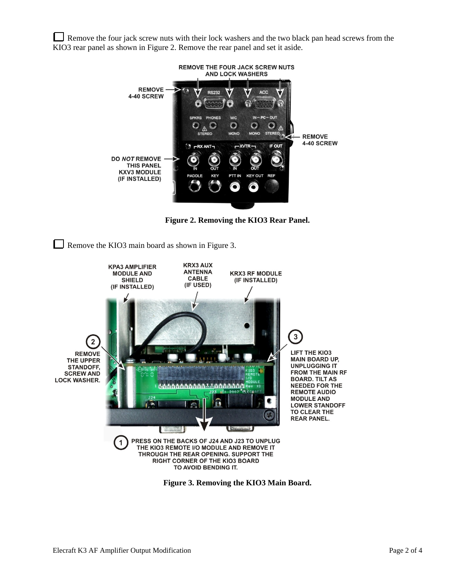Remove the four jack screw nuts with their lock washers and the two black pan head screws from the KIO3 rear panel as shown in Figure 2. Remove the rear panel and set it aside.



**Figure 2. Removing the KIO3 Rear Panel.** 

Remove the KIO3 main board as shown in Figure 3.



**Figure 3. Removing the KIO3 Main Board.**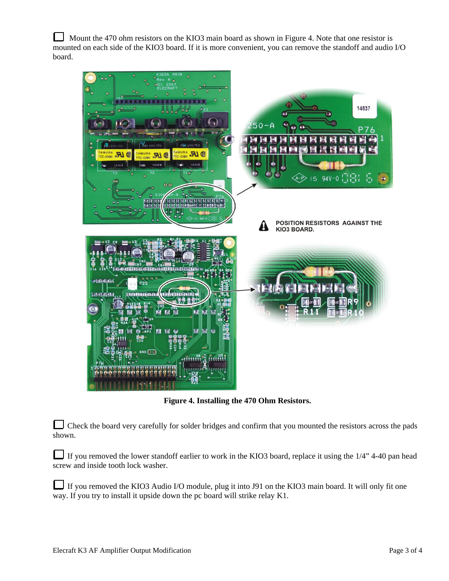Mount the 470 ohm resistors on the KIO3 main board as shown in Figure 4. Note that one resistor is mounted on each side of the KIO3 board. If it is more convenient, you can remove the standoff and audio I/O board.



**Figure 4. Installing the 470 Ohm Resistors.** 

Check the board very carefully for solder bridges and confirm that you mounted the resistors across the pads shown.

If you removed the lower standoff earlier to work in the KIO3 board, replace it using the 1/4" 4-40 pan head screw and inside tooth lock washer.

If you removed the KIO3 Audio I/O module, plug it into J91 on the KIO3 main board. It will only fit one way. If you try to install it upside down the pc board will strike relay K1.